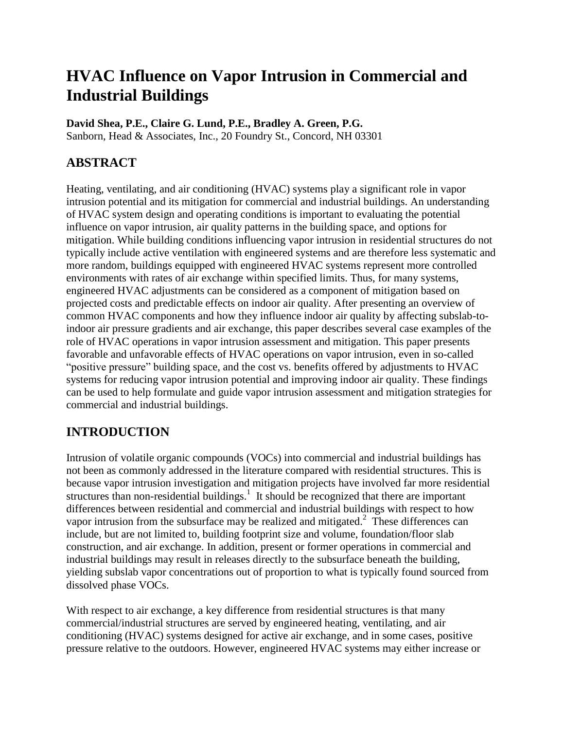# **HVAC Influence on Vapor Intrusion in Commercial and Industrial Buildings**

#### **David Shea, P.E., Claire G. Lund, P.E., Bradley A. Green, P.G.**

Sanborn, Head & Associates, Inc., 20 Foundry St., Concord, NH 03301

# **ABSTRACT**

Heating, ventilating, and air conditioning (HVAC) systems play a significant role in vapor intrusion potential and its mitigation for commercial and industrial buildings. An understanding of HVAC system design and operating conditions is important to evaluating the potential influence on vapor intrusion, air quality patterns in the building space, and options for mitigation. While building conditions influencing vapor intrusion in residential structures do not typically include active ventilation with engineered systems and are therefore less systematic and more random, buildings equipped with engineered HVAC systems represent more controlled environments with rates of air exchange within specified limits. Thus, for many systems, engineered HVAC adjustments can be considered as a component of mitigation based on projected costs and predictable effects on indoor air quality. After presenting an overview of common HVAC components and how they influence indoor air quality by affecting subslab-toindoor air pressure gradients and air exchange, this paper describes several case examples of the role of HVAC operations in vapor intrusion assessment and mitigation. This paper presents favorable and unfavorable effects of HVAC operations on vapor intrusion, even in so-called "positive pressure" building space, and the cost vs. benefits offered by adjustments to HVAC systems for reducing vapor intrusion potential and improving indoor air quality. These findings can be used to help formulate and guide vapor intrusion assessment and mitigation strategies for commercial and industrial buildings.

# **INTRODUCTION**

Intrusion of volatile organic compounds (VOCs) into commercial and industrial buildings has not been as commonly addressed in the literature compared with residential structures. This is because vapor intrusion investigation and mitigation projects have involved far more residential structures than non-residential buildings.<sup>1</sup> It should be recognized that there are important differences between residential and commercial and industrial buildings with respect to how vapor intrusion from the subsurface may be realized and mitigated.<sup>2</sup> These differences can include, but are not limited to, building footprint size and volume, foundation/floor slab construction, and air exchange. In addition, present or former operations in commercial and industrial buildings may result in releases directly to the subsurface beneath the building, yielding subslab vapor concentrations out of proportion to what is typically found sourced from dissolved phase VOCs.

With respect to air exchange, a key difference from residential structures is that many commercial/industrial structures are served by engineered heating, ventilating, and air conditioning (HVAC) systems designed for active air exchange, and in some cases, positive pressure relative to the outdoors. However, engineered HVAC systems may either increase or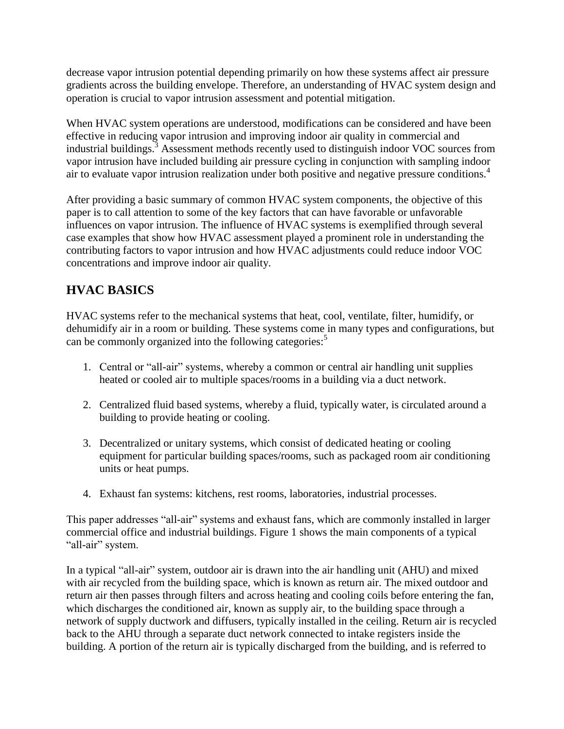decrease vapor intrusion potential depending primarily on how these systems affect air pressure gradients across the building envelope. Therefore, an understanding of HVAC system design and operation is crucial to vapor intrusion assessment and potential mitigation.

When HVAC system operations are understood, modifications can be considered and have been effective in reducing vapor intrusion and improving indoor air quality in commercial and industrial buildings.<sup>3</sup> Assessment methods recently used to distinguish indoor VOC sources from vapor intrusion have included building air pressure cycling in conjunction with sampling indoor air to evaluate vapor intrusion realization under both positive and negative pressure conditions.<sup>4</sup>

After providing a basic summary of common HVAC system components, the objective of this paper is to call attention to some of the key factors that can have favorable or unfavorable influences on vapor intrusion. The influence of HVAC systems is exemplified through several case examples that show how HVAC assessment played a prominent role in understanding the contributing factors to vapor intrusion and how HVAC adjustments could reduce indoor VOC concentrations and improve indoor air quality.

# **HVAC BASICS**

HVAC systems refer to the mechanical systems that heat, cool, ventilate, filter, humidify, or dehumidify air in a room or building. These systems come in many types and configurations, but can be commonly organized into the following categories: 5

- 1. Central or "all-air" systems, whereby a common or central air handling unit supplies heated or cooled air to multiple spaces/rooms in a building via a duct network.
- 2. Centralized fluid based systems, whereby a fluid, typically water, is circulated around a building to provide heating or cooling.
- 3. Decentralized or unitary systems, which consist of dedicated heating or cooling equipment for particular building spaces/rooms, such as packaged room air conditioning units or heat pumps.
- 4. Exhaust fan systems: kitchens, rest rooms, laboratories, industrial processes.

This paper addresses "all-air" systems and exhaust fans, which are commonly installed in larger commercial office and industrial buildings. Figure 1 shows the main components of a typical "all-air" system.

In a typical "all-air" system, outdoor air is drawn into the air handling unit (AHU) and mixed with air recycled from the building space, which is known as return air. The mixed outdoor and return air then passes through filters and across heating and cooling coils before entering the fan, which discharges the conditioned air, known as supply air, to the building space through a network of supply ductwork and diffusers, typically installed in the ceiling. Return air is recycled back to the AHU through a separate duct network connected to intake registers inside the building. A portion of the return air is typically discharged from the building, and is referred to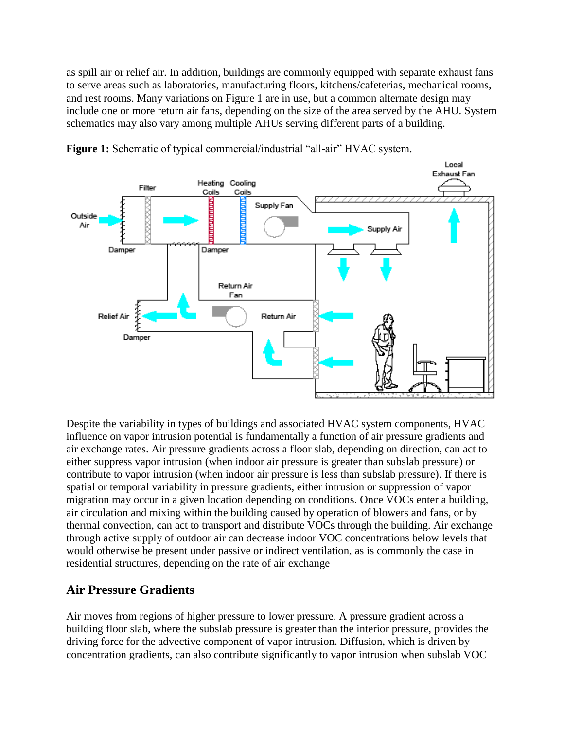as spill air or relief air. In addition, buildings are commonly equipped with separate exhaust fans to serve areas such as laboratories, manufacturing floors, kitchens/cafeterias, mechanical rooms, and rest rooms. Many variations on Figure 1 are in use, but a common alternate design may include one or more return air fans, depending on the size of the area served by the AHU. System schematics may also vary among multiple AHUs serving different parts of a building.



**Figure 1:** Schematic of typical commercial/industrial "all-air" HVAC system.

Despite the variability in types of buildings and associated HVAC system components, HVAC influence on vapor intrusion potential is fundamentally a function of air pressure gradients and air exchange rates. Air pressure gradients across a floor slab, depending on direction, can act to either suppress vapor intrusion (when indoor air pressure is greater than subslab pressure) or contribute to vapor intrusion (when indoor air pressure is less than subslab pressure). If there is spatial or temporal variability in pressure gradients, either intrusion or suppression of vapor migration may occur in a given location depending on conditions. Once VOCs enter a building, air circulation and mixing within the building caused by operation of blowers and fans, or by thermal convection, can act to transport and distribute VOCs through the building. Air exchange through active supply of outdoor air can decrease indoor VOC concentrations below levels that would otherwise be present under passive or indirect ventilation, as is commonly the case in residential structures, depending on the rate of air exchange

### **Air Pressure Gradients**

Air moves from regions of higher pressure to lower pressure. A pressure gradient across a building floor slab, where the subslab pressure is greater than the interior pressure, provides the driving force for the advective component of vapor intrusion. Diffusion, which is driven by concentration gradients, can also contribute significantly to vapor intrusion when subslab VOC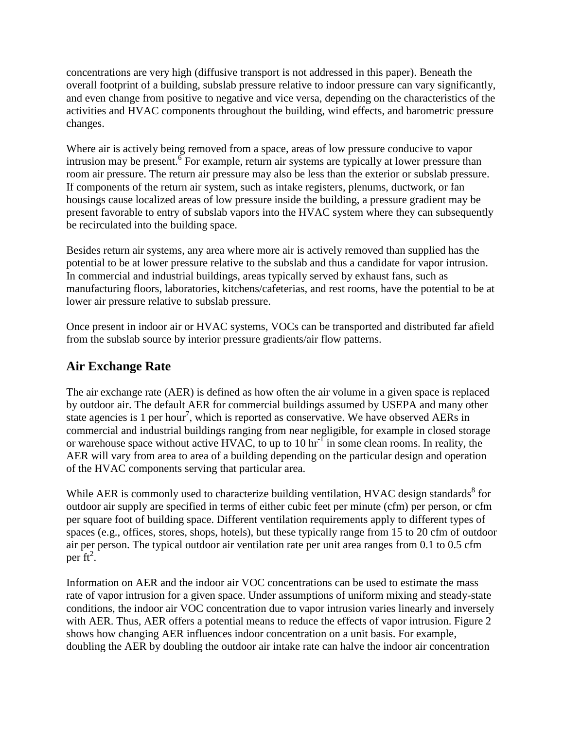concentrations are very high (diffusive transport is not addressed in this paper). Beneath the overall footprint of a building, subslab pressure relative to indoor pressure can vary significantly, and even change from positive to negative and vice versa, depending on the characteristics of the activities and HVAC components throughout the building, wind effects, and barometric pressure changes.

Where air is actively being removed from a space, areas of low pressure conducive to vapor intrusion may be present.  $\delta$  For example, return air systems are typically at lower pressure than room air pressure. The return air pressure may also be less than the exterior or subslab pressure. If components of the return air system, such as intake registers, plenums, ductwork, or fan housings cause localized areas of low pressure inside the building, a pressure gradient may be present favorable to entry of subslab vapors into the HVAC system where they can subsequently be recirculated into the building space.

Besides return air systems, any area where more air is actively removed than supplied has the potential to be at lower pressure relative to the subslab and thus a candidate for vapor intrusion. In commercial and industrial buildings, areas typically served by exhaust fans, such as manufacturing floors, laboratories, kitchens/cafeterias, and rest rooms, have the potential to be at lower air pressure relative to subslab pressure.

Once present in indoor air or HVAC systems, VOCs can be transported and distributed far afield from the subslab source by interior pressure gradients/air flow patterns.

### **Air Exchange Rate**

The air exchange rate (AER) is defined as how often the air volume in a given space is replaced by outdoor air. The default AER for commercial buildings assumed by USEPA and many other state agencies is 1 per hour<sup>7</sup>, which is reported as conservative. We have observed AERs in commercial and industrial buildings ranging from near negligible, for example in closed storage or warehouse space without active HVAC, to up to 10  $\text{hr}^1$  in some clean rooms. In reality, the AER will vary from area to area of a building depending on the particular design and operation of the HVAC components serving that particular area.

While AER is commonly used to characterize building ventilation, HVAC design standards<sup>8</sup> for outdoor air supply are specified in terms of either cubic feet per minute (cfm) per person, or cfm per square foot of building space. Different ventilation requirements apply to different types of spaces (e.g., offices, stores, shops, hotels), but these typically range from 15 to 20 cfm of outdoor air per person. The typical outdoor air ventilation rate per unit area ranges from 0.1 to 0.5 cfm per  $ft^2$ .

Information on AER and the indoor air VOC concentrations can be used to estimate the mass rate of vapor intrusion for a given space. Under assumptions of uniform mixing and steady-state conditions, the indoor air VOC concentration due to vapor intrusion varies linearly and inversely with AER. Thus, AER offers a potential means to reduce the effects of vapor intrusion. Figure 2 shows how changing AER influences indoor concentration on a unit basis. For example, doubling the AER by doubling the outdoor air intake rate can halve the indoor air concentration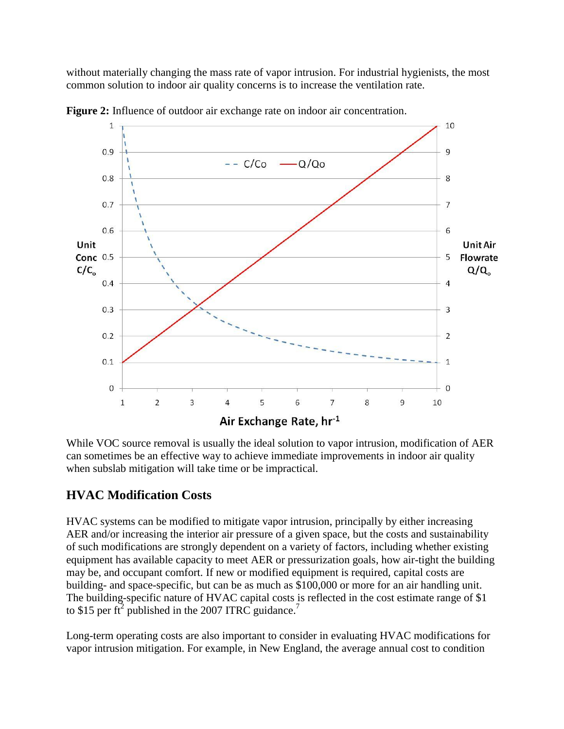without materially changing the mass rate of vapor intrusion. For industrial hygienists, the most common solution to indoor air quality concerns is to increase the ventilation rate.



**Figure 2:** Influence of outdoor air exchange rate on indoor air concentration.

While VOC source removal is usually the ideal solution to vapor intrusion, modification of AER can sometimes be an effective way to achieve immediate improvements in indoor air quality when subslab mitigation will take time or be impractical.

# **HVAC Modification Costs**

HVAC systems can be modified to mitigate vapor intrusion, principally by either increasing AER and/or increasing the interior air pressure of a given space, but the costs and sustainability of such modifications are strongly dependent on a variety of factors, including whether existing equipment has available capacity to meet AER or pressurization goals, how air-tight the building may be, and occupant comfort. If new or modified equipment is required, capital costs are building- and space-specific, but can be as much as \$100,000 or more for an air handling unit. The building-specific nature of HVAC capital costs is reflected in the cost estimate range of \$1 to \$15 per ft<sup>2</sup> published in the 2007 ITRC guidance.<sup>7</sup>

Long-term operating costs are also important to consider in evaluating HVAC modifications for vapor intrusion mitigation. For example, in New England, the average annual cost to condition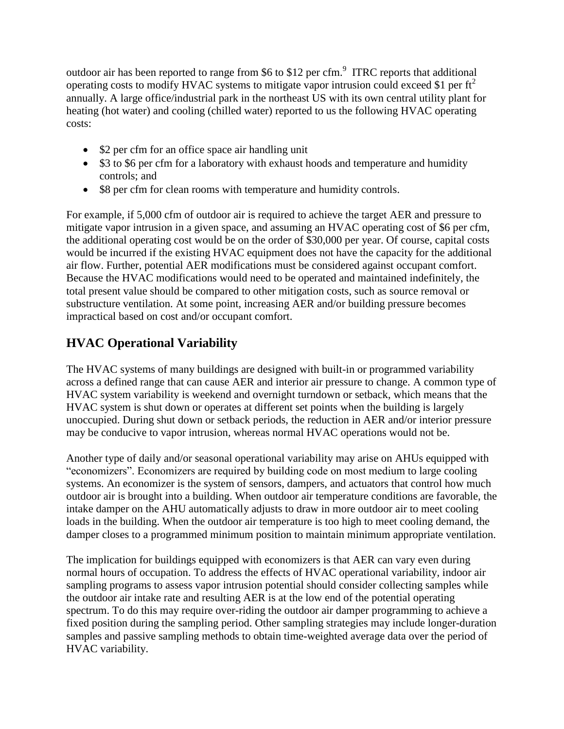outdoor air has been reported to range from \$6 to \$12 per cfm. $^{9}$  ITRC reports that additional operating costs to modify HVAC systems to mitigate vapor intrusion could exceed \$1 per  $\text{ft}^2$ annually. A large office/industrial park in the northeast US with its own central utility plant for heating (hot water) and cooling (chilled water) reported to us the following HVAC operating costs:

- \$2 per cfm for an office space air handling unit
- \$3 to \$6 per cfm for a laboratory with exhaust hoods and temperature and humidity controls; and
- \$8 per cfm for clean rooms with temperature and humidity controls.

For example, if 5,000 cfm of outdoor air is required to achieve the target AER and pressure to mitigate vapor intrusion in a given space, and assuming an HVAC operating cost of \$6 per cfm, the additional operating cost would be on the order of \$30,000 per year. Of course, capital costs would be incurred if the existing HVAC equipment does not have the capacity for the additional air flow. Further, potential AER modifications must be considered against occupant comfort. Because the HVAC modifications would need to be operated and maintained indefinitely, the total present value should be compared to other mitigation costs, such as source removal or substructure ventilation. At some point, increasing AER and/or building pressure becomes impractical based on cost and/or occupant comfort.

# **HVAC Operational Variability**

The HVAC systems of many buildings are designed with built-in or programmed variability across a defined range that can cause AER and interior air pressure to change. A common type of HVAC system variability is weekend and overnight turndown or setback, which means that the HVAC system is shut down or operates at different set points when the building is largely unoccupied. During shut down or setback periods, the reduction in AER and/or interior pressure may be conducive to vapor intrusion, whereas normal HVAC operations would not be.

Another type of daily and/or seasonal operational variability may arise on AHUs equipped with "economizers". Economizers are required by building code on most medium to large cooling systems. An economizer is the system of sensors, dampers, and actuators that control how much outdoor air is brought into a building. When outdoor air temperature conditions are favorable, the intake damper on the AHU automatically adjusts to draw in more outdoor air to meet cooling loads in the building. When the outdoor air temperature is too high to meet cooling demand, the damper closes to a programmed minimum position to maintain minimum appropriate ventilation.

The implication for buildings equipped with economizers is that AER can vary even during normal hours of occupation. To address the effects of HVAC operational variability, indoor air sampling programs to assess vapor intrusion potential should consider collecting samples while the outdoor air intake rate and resulting AER is at the low end of the potential operating spectrum. To do this may require over-riding the outdoor air damper programming to achieve a fixed position during the sampling period. Other sampling strategies may include longer-duration samples and passive sampling methods to obtain time-weighted average data over the period of HVAC variability.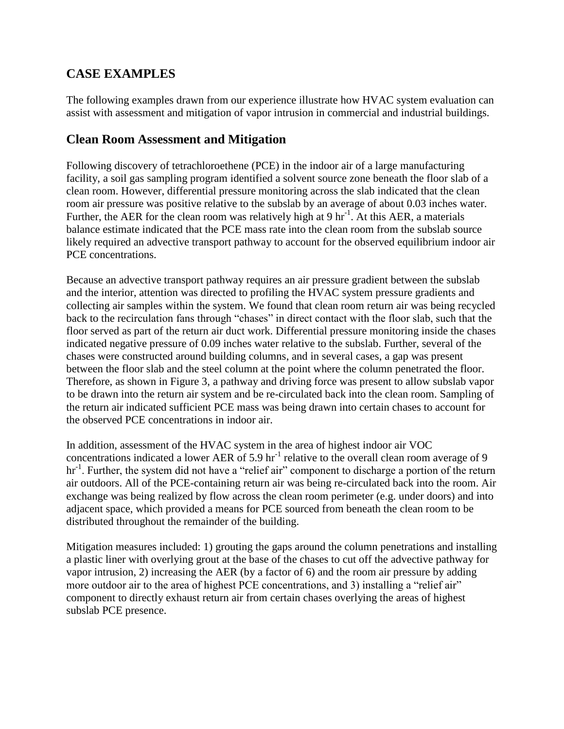### **CASE EXAMPLES**

The following examples drawn from our experience illustrate how HVAC system evaluation can assist with assessment and mitigation of vapor intrusion in commercial and industrial buildings.

### **Clean Room Assessment and Mitigation**

Following discovery of tetrachloroethene (PCE) in the indoor air of a large manufacturing facility, a soil gas sampling program identified a solvent source zone beneath the floor slab of a clean room. However, differential pressure monitoring across the slab indicated that the clean room air pressure was positive relative to the subslab by an average of about 0.03 inches water. Further, the AER for the clean room was relatively high at 9  $\text{hr}^{-1}$ . At this AER, a materials balance estimate indicated that the PCE mass rate into the clean room from the subslab source likely required an advective transport pathway to account for the observed equilibrium indoor air PCE concentrations.

Because an advective transport pathway requires an air pressure gradient between the subslab and the interior, attention was directed to profiling the HVAC system pressure gradients and collecting air samples within the system. We found that clean room return air was being recycled back to the recirculation fans through "chases" in direct contact with the floor slab, such that the floor served as part of the return air duct work. Differential pressure monitoring inside the chases indicated negative pressure of 0.09 inches water relative to the subslab. Further, several of the chases were constructed around building columns, and in several cases, a gap was present between the floor slab and the steel column at the point where the column penetrated the floor. Therefore, as shown in Figure 3, a pathway and driving force was present to allow subslab vapor to be drawn into the return air system and be re-circulated back into the clean room. Sampling of the return air indicated sufficient PCE mass was being drawn into certain chases to account for the observed PCE concentrations in indoor air.

In addition, assessment of the HVAC system in the area of highest indoor air VOC concentrations indicated a lower AER of 5.9 hr<sup>-1</sup> relative to the overall clean room average of 9 hr<sup>-1</sup>. Further, the system did not have a "relief air" component to discharge a portion of the return air outdoors. All of the PCE-containing return air was being re-circulated back into the room. Air exchange was being realized by flow across the clean room perimeter (e.g. under doors) and into adjacent space, which provided a means for PCE sourced from beneath the clean room to be distributed throughout the remainder of the building.

Mitigation measures included: 1) grouting the gaps around the column penetrations and installing a plastic liner with overlying grout at the base of the chases to cut off the advective pathway for vapor intrusion, 2) increasing the AER (by a factor of 6) and the room air pressure by adding more outdoor air to the area of highest PCE concentrations, and 3) installing a "relief air" component to directly exhaust return air from certain chases overlying the areas of highest subslab PCE presence.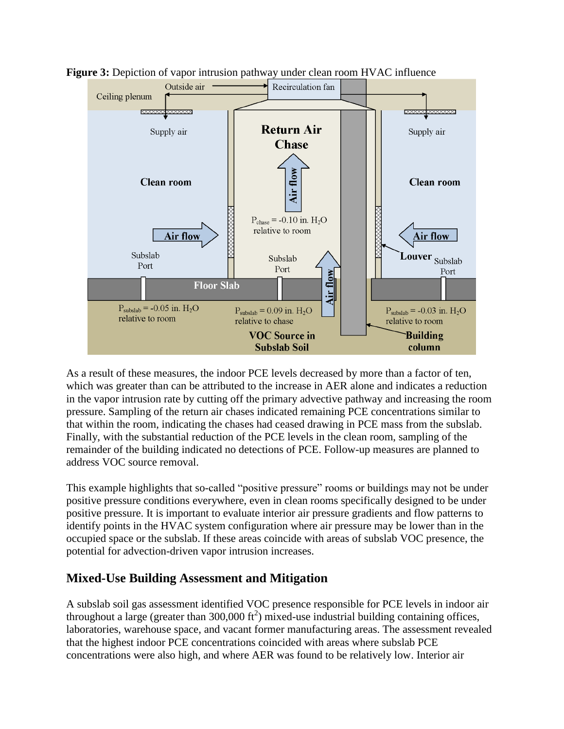

**Figure 3:** Depiction of vapor intrusion pathway under clean room HVAC influence

As a result of these measures, the indoor PCE levels decreased by more than a factor of ten, which was greater than can be attributed to the increase in AER alone and indicates a reduction in the vapor intrusion rate by cutting off the primary advective pathway and increasing the room pressure. Sampling of the return air chases indicated remaining PCE concentrations similar to that within the room, indicating the chases had ceased drawing in PCE mass from the subslab. Finally, with the substantial reduction of the PCE levels in the clean room, sampling of the remainder of the building indicated no detections of PCE. Follow-up measures are planned to address VOC source removal.

This example highlights that so-called "positive pressure" rooms or buildings may not be under positive pressure conditions everywhere, even in clean rooms specifically designed to be under positive pressure. It is important to evaluate interior air pressure gradients and flow patterns to identify points in the HVAC system configuration where air pressure may be lower than in the occupied space or the subslab. If these areas coincide with areas of subslab VOC presence, the potential for advection-driven vapor intrusion increases.

### **Mixed-Use Building Assessment and Mitigation**

A subslab soil gas assessment identified VOC presence responsible for PCE levels in indoor air throughout a large (greater than  $300,000 \text{ ft}^2$ ) mixed-use industrial building containing offices, laboratories, warehouse space, and vacant former manufacturing areas. The assessment revealed that the highest indoor PCE concentrations coincided with areas where subslab PCE concentrations were also high, and where AER was found to be relatively low. Interior air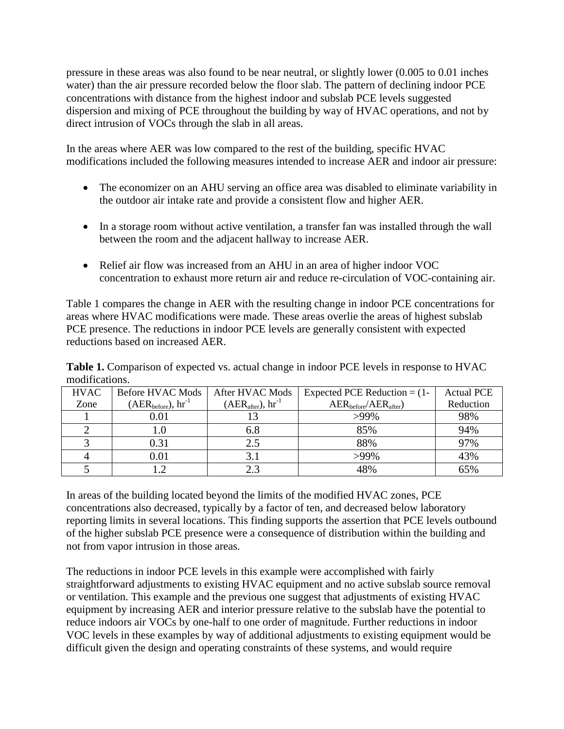pressure in these areas was also found to be near neutral, or slightly lower (0.005 to 0.01 inches water) than the air pressure recorded below the floor slab. The pattern of declining indoor PCE concentrations with distance from the highest indoor and subslab PCE levels suggested dispersion and mixing of PCE throughout the building by way of HVAC operations, and not by direct intrusion of VOCs through the slab in all areas.

In the areas where AER was low compared to the rest of the building, specific HVAC modifications included the following measures intended to increase AER and indoor air pressure:

- The economizer on an AHU serving an office area was disabled to eliminate variability in the outdoor air intake rate and provide a consistent flow and higher AER.
- In a storage room without active ventilation, a transfer fan was installed through the wall between the room and the adjacent hallway to increase AER.
- Relief air flow was increased from an AHU in an area of higher indoor VOC concentration to exhaust more return air and reduce re-circulation of VOC-containing air.

Table 1 compares the change in AER with the resulting change in indoor PCE concentrations for areas where HVAC modifications were made. These areas overlie the areas of highest subslab PCE presence. The reductions in indoor PCE levels are generally consistent with expected reductions based on increased AER.

**Table 1.** Comparison of expected vs. actual change in indoor PCE levels in response to HVAC modifications.

| <b>HVAC</b> | Before HVAC Mods             | After HVAC Mods             | Expected PCE Reduction $= (1 -$ | <b>Actual PCE</b> |
|-------------|------------------------------|-----------------------------|---------------------------------|-------------------|
| Zone        | $(AER_{before})$ , $hr^{-1}$ | $(AER_{after})$ , $hr^{-1}$ | $AER_{before}/AER_{after}$      | Reduction         |
|             | 0.01                         |                             | $>99\%$                         | 98%               |
|             | 1.0                          | 6.8                         | 85%                             | 94%               |
|             | 0.31                         | 2.5                         | 88%                             | 97%               |
|             | 0.01                         |                             | $>99\%$                         | 43%               |
|             |                              | 23                          | 48%                             | 65%               |

In areas of the building located beyond the limits of the modified HVAC zones, PCE concentrations also decreased, typically by a factor of ten, and decreased below laboratory reporting limits in several locations. This finding supports the assertion that PCE levels outbound of the higher subslab PCE presence were a consequence of distribution within the building and not from vapor intrusion in those areas.

The reductions in indoor PCE levels in this example were accomplished with fairly straightforward adjustments to existing HVAC equipment and no active subslab source removal or ventilation. This example and the previous one suggest that adjustments of existing HVAC equipment by increasing AER and interior pressure relative to the subslab have the potential to reduce indoors air VOCs by one-half to one order of magnitude. Further reductions in indoor VOC levels in these examples by way of additional adjustments to existing equipment would be difficult given the design and operating constraints of these systems, and would require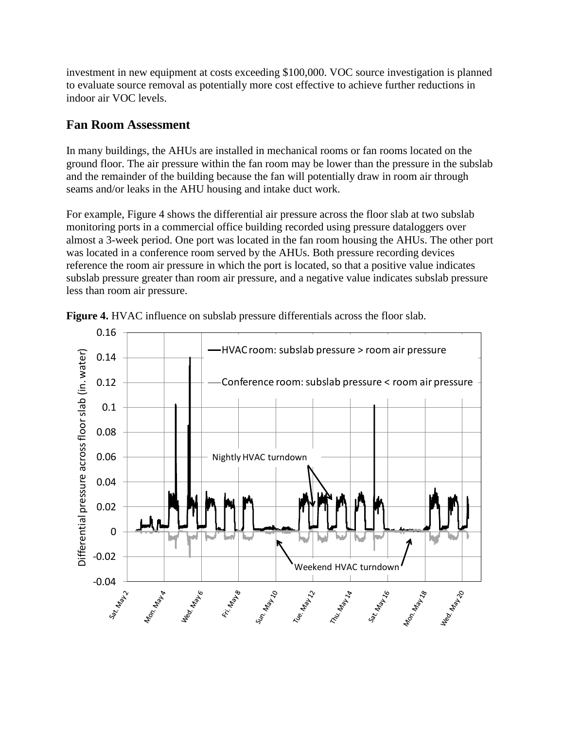investment in new equipment at costs exceeding \$100,000. VOC source investigation is planned to evaluate source removal as potentially more cost effective to achieve further reductions in indoor air VOC levels.

### **Fan Room Assessment**

In many buildings, the AHUs are installed in mechanical rooms or fan rooms located on the ground floor. The air pressure within the fan room may be lower than the pressure in the subslab and the remainder of the building because the fan will potentially draw in room air through seams and/or leaks in the AHU housing and intake duct work.

For example, Figure 4 shows the differential air pressure across the floor slab at two subslab monitoring ports in a commercial office building recorded using pressure dataloggers over almost a 3-week period. One port was located in the fan room housing the AHUs. The other port was located in a conference room served by the AHUs. Both pressure recording devices reference the room air pressure in which the port is located, so that a positive value indicates subslab pressure greater than room air pressure, and a negative value indicates subslab pressure less than room air pressure.



**Figure 4.** HVAC influence on subslab pressure differentials across the floor slab.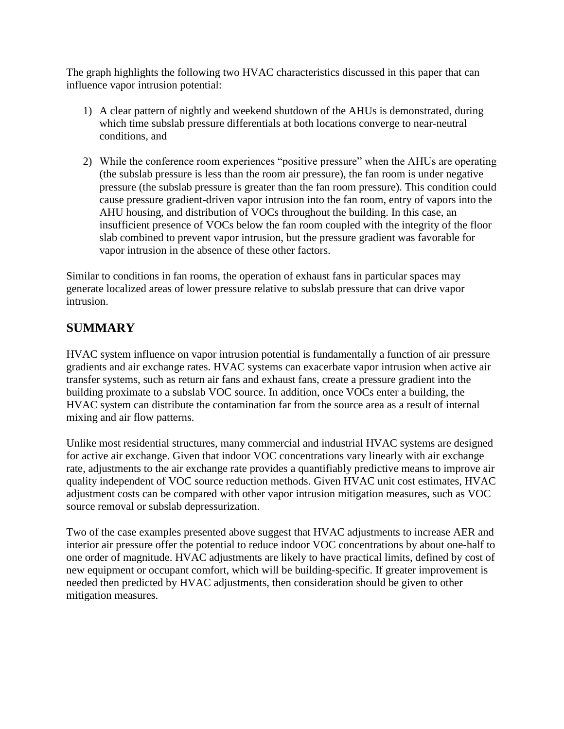The graph highlights the following two HVAC characteristics discussed in this paper that can influence vapor intrusion potential:

- 1) A clear pattern of nightly and weekend shutdown of the AHUs is demonstrated, during which time subslab pressure differentials at both locations converge to near-neutral conditions, and
- 2) While the conference room experiences "positive pressure" when the AHUs are operating (the subslab pressure is less than the room air pressure), the fan room is under negative pressure (the subslab pressure is greater than the fan room pressure). This condition could cause pressure gradient-driven vapor intrusion into the fan room, entry of vapors into the AHU housing, and distribution of VOCs throughout the building. In this case, an insufficient presence of VOCs below the fan room coupled with the integrity of the floor slab combined to prevent vapor intrusion, but the pressure gradient was favorable for vapor intrusion in the absence of these other factors.

Similar to conditions in fan rooms, the operation of exhaust fans in particular spaces may generate localized areas of lower pressure relative to subslab pressure that can drive vapor intrusion.

# **SUMMARY**

HVAC system influence on vapor intrusion potential is fundamentally a function of air pressure gradients and air exchange rates. HVAC systems can exacerbate vapor intrusion when active air transfer systems, such as return air fans and exhaust fans, create a pressure gradient into the building proximate to a subslab VOC source. In addition, once VOCs enter a building, the HVAC system can distribute the contamination far from the source area as a result of internal mixing and air flow patterns.

Unlike most residential structures, many commercial and industrial HVAC systems are designed for active air exchange. Given that indoor VOC concentrations vary linearly with air exchange rate, adjustments to the air exchange rate provides a quantifiably predictive means to improve air quality independent of VOC source reduction methods. Given HVAC unit cost estimates, HVAC adjustment costs can be compared with other vapor intrusion mitigation measures, such as VOC source removal or subslab depressurization.

Two of the case examples presented above suggest that HVAC adjustments to increase AER and interior air pressure offer the potential to reduce indoor VOC concentrations by about one-half to one order of magnitude. HVAC adjustments are likely to have practical limits, defined by cost of new equipment or occupant comfort, which will be building-specific. If greater improvement is needed then predicted by HVAC adjustments, then consideration should be given to other mitigation measures.